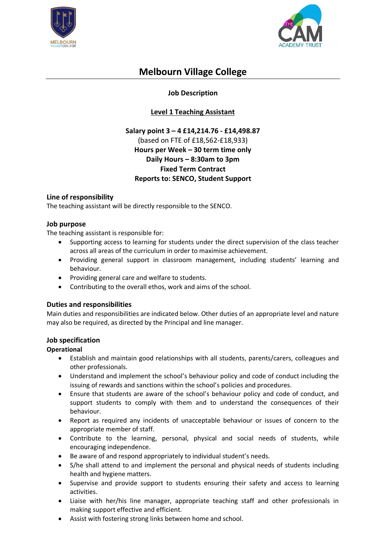



# **Melbourn Village College**

# **Job Description**

# **Level 1 Teaching Assistant**

# **Salary point 3 – 4 £14,214.76 - £14,498.87**  (based on FTE of £18,562-£18,933) **Hours per Week – 30 term time only Daily Hours – 8:30am to 3pm Fixed Term Contract Reports to: SENCO, Student Support**

## **Line of responsibility**

The teaching assistant will be directly responsible to the SENCO.

### **Job purpose**

The teaching assistant is responsible for:

- Supporting access to learning for students under the direct supervision of the class teacher across all areas of the curriculum in order to maximise achievement.
- Providing general support in classroom management, including students' learning and behaviour.
- Providing general care and welfare to students.
- Contributing to the overall ethos, work and aims of the school.

## **Duties and responsibilities**

Main duties and responsibilities are indicated below. Other duties of an appropriate level and nature may also be required, as directed by the Principal and line manager.

#### **Job specification**

#### **Operational**

- Establish and maintain good relationships with all students, parents/carers, colleagues and other professionals.
- Understand and implement the school's behaviour policy and code of conduct including the issuing of rewards and sanctions within the school's policies and procedures.
- Ensure that students are aware of the school's behaviour policy and code of conduct, and support students to comply with them and to understand the consequences of their behaviour.
- Report as required any incidents of unacceptable behaviour or issues of concern to the appropriate member of staff.
- Contribute to the learning, personal, physical and social needs of students, while encouraging independence.
- Be aware of and respond appropriately to individual student's needs.
- S/he shall attend to and implement the personal and physical needs of students including health and hygiene matters.
- Supervise and provide support to students ensuring their safety and access to learning activities.
- Liaise with her/his line manager, appropriate teaching staff and other professionals in making support effective and efficient.
- Assist with fostering strong links between home and school.